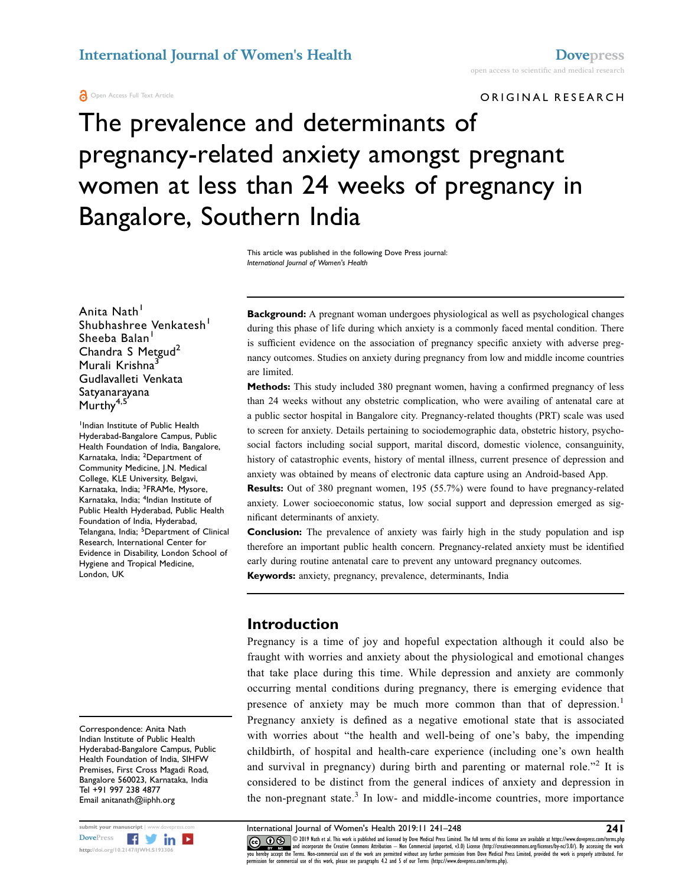ORIGINAL RESEARCH

# The prevalence and determinants of pregnancy-related anxiety amongst pregnant women at less than 24 weeks of pregnancy in Bangalore, Southern India

This article was published in the following Dove Press journal: International Journal of Women's Health

Anita Nath<sup>1</sup> Shubhashree Venkatesh<sup>1</sup> Sheeba Balan<sup>1</sup> Chandra S Metgud<sup>2</sup> Murali Krishna<sup>3</sup> Gudlavalleti Venkata Satyanarayana Murthy<sup>4,5</sup>

Indian Institute of Public Health Hyderabad-Bangalore Campus, Public Health Foundation of India, Bangalore, Karnataka, India; <sup>2</sup>Department of Community Medicine, J.N. Medical College, KLE University, Belgavi, Karnataka, India; <sup>3</sup>FRAMe, Mysore, Karnataka, India; <sup>4</sup>Indian Institute of Public Health Hyderabad, Public Health Foundation of India, Hyderabad, Telangana, India; <sup>5</sup>Department of Clinical Research, International Center for Evidence in Disability, London School of Hygiene and Tropical Medicine, London, UK

Correspondence: Anita Nath Indian Institute of Public Health Hyderabad-Bangalore Campus, Public Health Foundation of India, SIHFW Premises, First Cross Magadi Road, Bangalore 560023, Karnataka, India Tel +91 997 238 4877 Email anitanath@iiphh.org



Background: A pregnant woman undergoes physiological as well as psychological changes during this phase of life during which anxiety is a commonly faced mental condition. There is sufficient evidence on the association of pregnancy specific anxiety with adverse pregnancy outcomes. Studies on anxiety during pregnancy from low and middle income countries are limited.

Methods: This study included 380 pregnant women, having a confirmed pregnancy of less than 24 weeks without any obstetric complication, who were availing of antenatal care at a public sector hospital in Bangalore city. Pregnancy-related thoughts (PRT) scale was used to screen for anxiety. Details pertaining to sociodemographic data, obstetric history, psychosocial factors including social support, marital discord, domestic violence, consanguinity, history of catastrophic events, history of mental illness, current presence of depression and anxiety was obtained by means of electronic data capture using an Android-based App.

Results: Out of 380 pregnant women, 195 (55.7%) were found to have pregnancy-related anxiety. Lower socioeconomic status, low social support and depression emerged as significant determinants of anxiety.

**Conclusion:** The prevalence of anxiety was fairly high in the study population and isp therefore an important public health concern. Pregnancy-related anxiety must be identified early during routine antenatal care to prevent any untoward pregnancy outcomes.

Keywords: anxiety, pregnancy, prevalence, determinants, India

#### Introduction

Pregnancy is a time of joy and hopeful expectation although it could also be fraught with worries and anxiety about the physiological and emotional changes that take place during this time. While depression and anxiety are commonly occurring mental conditions during pregnancy, there is emerging evidence that presence of anxiety may be much more common than that of depression.<sup>1</sup> Pregnancy anxiety is defined as a negative emotional state that is associated with worries about "the health and well-being of one's baby, the impending childbirth, of hospital and health-care experience (including one's own health and survival in pregnancy) during birth and parenting or maternal role.<sup> $32$ </sup> It is considered to be distinct from the general indices of anxiety and depression in the non-pregnant state. $3$  In low- and middle-income countries, more importance

submit your manuscript | www.dovepress.com International Journal of Women's Health 2019:11 241–248 241<br>DovePress **Property and Township Computer Computer** Computer and international statement of the property of the full te CC **D**  $\bigcirc$  2019 Nath et al. This work is published and licensed by Dove Medical Press Limited. The full terms of this license are available at https://www.dovepress.com/terms.php www.particle.com and incorporate the Creative Commons Attribution — Non Commercial (unported, v3.0) License (http://creativecommons.org/licenses/by-nc/3.0/). By accessing the work<br>you hereby accept the Terms. Non-commercia permission for commercial use of this work, please see paragraphs 4.2 and 5 of our Terms (https://www.dovepress.com/terms.php).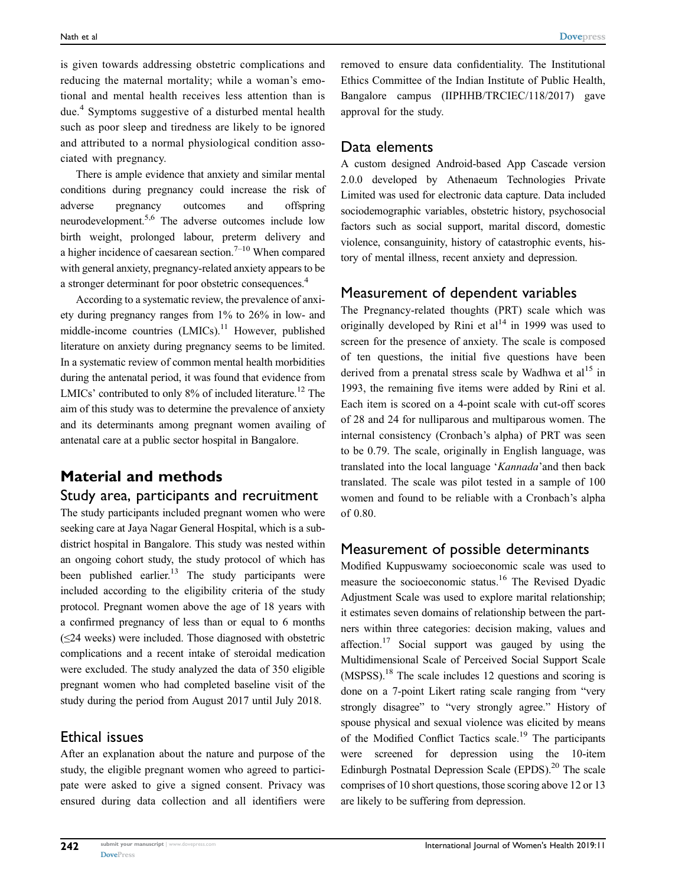is given towards addressing obstetric complications and reducing the maternal mortality; while a woman's emotional and mental health receives less attention than is due.<sup>4</sup> Symptoms suggestive of a disturbed mental health such as poor sleep and tiredness are likely to be ignored and attributed to a normal physiological condition associated with pregnancy.

There is ample evidence that anxiety and similar mental conditions during pregnancy could increase the risk of adverse pregnancy outcomes and offspring neurodevelopment.5,6 The adverse outcomes include low birth weight, prolonged labour, preterm delivery and a higher incidence of caesarean section.<sup>7-10</sup> When compared with general anxiety, pregnancy-related anxiety appears to be a stronger determinant for poor obstetric consequences.4

According to a systematic review, the prevalence of anxiety during pregnancy ranges from 1% to 26% in low- and middle-income countries  $(LMICs)$ .<sup>11</sup> However, published literature on anxiety during pregnancy seems to be limited. In a systematic review of common mental health morbidities during the antenatal period, it was found that evidence from LMICs' contributed to only  $8\%$  of included literature.<sup>12</sup> The aim of this study was to determine the prevalence of anxiety and its determinants among pregnant women availing of antenatal care at a public sector hospital in Bangalore.

# Material and methods

#### Study area, participants and recruitment

The study participants included pregnant women who were seeking care at Jaya Nagar General Hospital, which is a subdistrict hospital in Bangalore. This study was nested within an ongoing cohort study, the study protocol of which has been published earlier.<sup>13</sup> The study participants were included according to the eligibility criteria of the study protocol. Pregnant women above the age of 18 years with a confirmed pregnancy of less than or equal to 6 months  $(\leq 24$  weeks) were included. Those diagnosed with obstetric complications and a recent intake of steroidal medication were excluded. The study analyzed the data of 350 eligible pregnant women who had completed baseline visit of the study during the period from August 2017 until July 2018.

#### Ethical issues

After an explanation about the nature and purpose of the study, the eligible pregnant women who agreed to participate were asked to give a signed consent. Privacy was ensured during data collection and all identifiers were removed to ensure data confidentiality. The Institutional Ethics Committee of the Indian Institute of Public Health, Bangalore campus (IIPHHB/TRCIEC/118/2017) gave approval for the study.

#### Data elements

A custom designed Android-based App Cascade version 2.0.0 developed by Athenaeum Technologies Private Limited was used for electronic data capture. Data included sociodemographic variables, obstetric history, psychosocial factors such as social support, marital discord, domestic violence, consanguinity, history of catastrophic events, history of mental illness, recent anxiety and depression.

#### Measurement of dependent variables

The Pregnancy-related thoughts (PRT) scale which was originally developed by Rini et  $al<sup>14</sup>$  in 1999 was used to screen for the presence of anxiety. The scale is composed of ten questions, the initial five questions have been derived from a prenatal stress scale by Wadhwa et  $al<sup>15</sup>$  in 1993, the remaining five items were added by Rini et al. Each item is scored on a 4-point scale with cut-off scores of 28 and 24 for nulliparous and multiparous women. The internal consistency (Cronbach's alpha) of PRT was seen to be 0.79. The scale, originally in English language, was translated into the local language 'Kannada'and then back translated. The scale was pilot tested in a sample of 100 women and found to be reliable with a Cronbach's alpha of 0.80.

#### Measurement of possible determinants

Modified Kuppuswamy socioeconomic scale was used to measure the socioeconomic status.16 The Revised Dyadic Adjustment Scale was used to explore marital relationship; it estimates seven domains of relationship between the partners within three categories: decision making, values and affection.<sup>17</sup> Social support was gauged by using the Multidimensional Scale of Perceived Social Support Scale  $(MSPSS)$ <sup>18</sup>. The scale includes 12 questions and scoring is done on a 7-point Likert rating scale ranging from "very strongly disagree" to "very strongly agree." History of spouse physical and sexual violence was elicited by means of the Modified Conflict Tactics scale.<sup>19</sup> The participants were screened for depression using the 10-item Edinburgh Postnatal Depression Scale (EPDS). $^{20}$  The scale comprises of 10 short questions, those scoring above 12 or 13 are likely to be suffering from depression.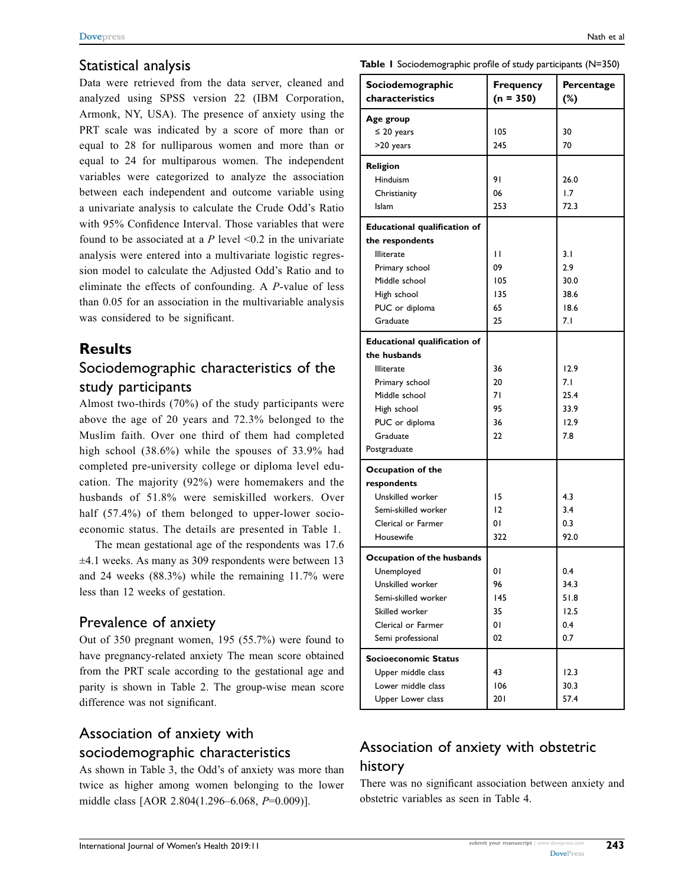## Statistical analysis

Data were retrieved from the data server, cleaned and analyzed using SPSS version 22 (IBM Corporation, Armonk, NY, USA). The presence of anxiety using the PRT scale was indicated by a score of more than or equal to 28 for nulliparous women and more than or equal to 24 for multiparous women. The independent variables were categorized to analyze the association between each independent and outcome variable using a univariate analysis to calculate the Crude Odd's Ratio with 95% Confidence Interval. Those variables that were found to be associated at a  $P$  level <0.2 in the univariate analysis were entered into a multivariate logistic regression model to calculate the Adjusted Odd's Ratio and to eliminate the effects of confounding. A P-value of less than 0.05 for an association in the multivariable analysis was considered to be significant.

# **Results**

# Sociodemographic characteristics of the study participants

Almost two-thirds (70%) of the study participants were above the age of 20 years and 72.3% belonged to the Muslim faith. Over one third of them had completed high school (38.6%) while the spouses of 33.9% had completed pre-university college or diploma level education. The majority (92%) were homemakers and the husbands of 51.8% were semiskilled workers. Over half (57.4%) of them belonged to upper-lower socioeconomic status. The details are presented in Table 1.

The mean gestational age of the respondents was 17.6 ±4.1 weeks. As many as 309 respondents were between 13 and 24 weeks (88.3%) while the remaining 11.7% were less than 12 weeks of gestation.

# Prevalence of anxiety

Out of 350 pregnant women, 195 (55.7%) were found to have pregnancy-related anxiety The mean score obtained from the PRT scale according to the gestational age and parity is shown in Table 2. The group-wise mean score difference was not significant.

# Association of anxiety with

#### sociodemographic characteristics

As shown in Table 3, the Odd's of anxiety was more than twice as higher among women belonging to the lower middle class [AOR 2.804(1.296–6.068, P=0.009)].

Table 1 Sociodemographic profile of study participants (N=350)

| Sociodemographic<br>characteristics | <b>Frequency</b><br>$(n = 350)$ | Percentage<br>$(\%)$ |
|-------------------------------------|---------------------------------|----------------------|
| Age group                           |                                 |                      |
| $\leq 20$ years                     | 105                             | 30                   |
| >20 years                           | 245                             | 70                   |
| <b>Religion</b>                     |                                 |                      |
| Hinduism                            | 91                              | 26.0                 |
| Christianity                        | 06                              | 1.7                  |
| Islam                               | 253                             | 72.3                 |
| <b>Educational qualification of</b> |                                 |                      |
| the respondents                     |                                 |                      |
| <b>Illiterate</b>                   | П                               | 3.1                  |
| Primary school                      | 09                              | 2.9                  |
| Middle school                       | 105                             | 30.0                 |
| High school                         | 135                             | 38.6                 |
| PUC or diploma                      | 65                              | 18.6                 |
| Graduate                            | 25                              | 7. I                 |
| <b>Educational qualification of</b> |                                 |                      |
| the husbands                        |                                 |                      |
| <b>Illiterate</b>                   | 36                              | 12.9                 |
| Primary school                      | 20                              | 7. I                 |
| Middle school                       | 71                              | 25.4                 |
| High school                         | 95                              | 33.9                 |
| PUC or diploma                      | 36                              | 12.9                 |
| Graduate                            | 22                              | 7.8                  |
| Postgraduate                        |                                 |                      |
| Occupation of the                   |                                 |                      |
| respondents                         |                                 |                      |
| Unskilled worker                    | 15                              | 4.3                  |
| Semi-skilled worker                 | 12                              | 3.4                  |
| Clerical or Farmer                  | 01                              | 0.3                  |
| Housewife                           | 322                             | 92.0                 |
| Occupation of the husbands          |                                 |                      |
| Unemployed                          | 01                              | 0.4                  |
| Unskilled worker                    | 96                              | 34.3                 |
| Semi-skilled worker                 | 145                             | 51.8                 |
| Skilled worker                      | 35                              | 12.5                 |
| Clerical or Farmer                  | 01                              | 0.4                  |
| Semi professional                   | 02                              | 0.7                  |
| Socioeconomic Status                |                                 |                      |
| Upper middle class                  | 43                              | 12.3                 |
| Lower middle class                  | 106                             | 30.3                 |
| Upper Lower class                   | 20 I                            | 57.4                 |

# Association of anxiety with obstetric history

There was no significant association between anxiety and obstetric variables as seen in Table 4.

243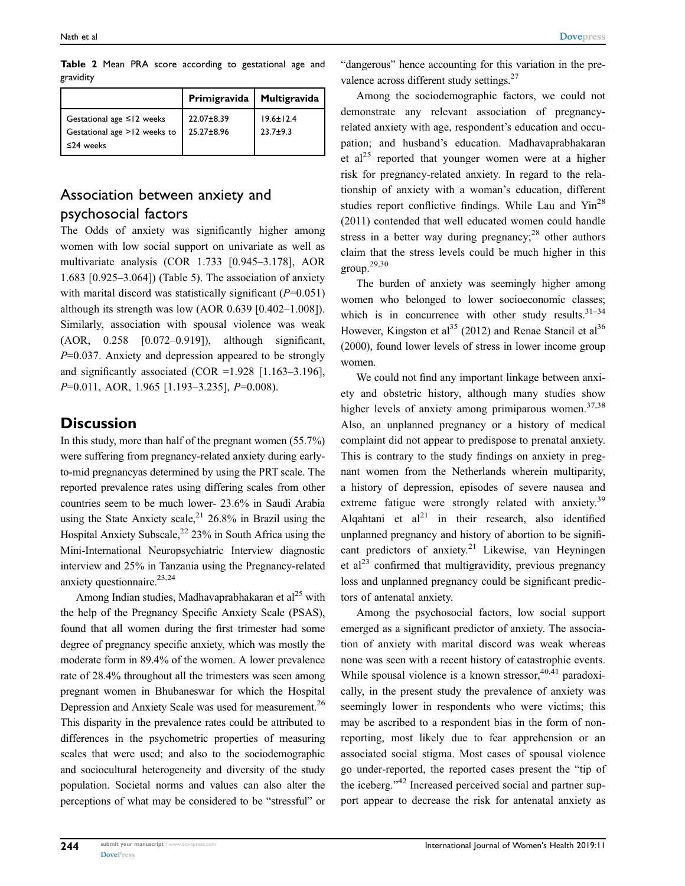|           |  |  |  | Table 2 Mean PRA score according to gestational age and |  |
|-----------|--|--|--|---------------------------------------------------------|--|
| gravidity |  |  |  |                                                         |  |

|                                                                                    | Primigravida   Multigravida  |                                 |
|------------------------------------------------------------------------------------|------------------------------|---------------------------------|
| Gestational age $\leq$ 12 weeks<br>Gestational age >12 weeks to<br>$\leq$ 24 weeks | $22.07 + 8.39$<br>25.27±8.96 | $19.6 \pm 12.4$<br>$23.7 + 9.3$ |

# Association between anxiety and psychosocial factors

The Odds of anxiety was significantly higher among women with low social support on univariate as well as multivariate analysis (COR 1.733 [0.945–3.178], AOR 1.683 [0.925–3.064]) (Table 5). The association of anxiety with marital discord was statistically significant  $(P=0.051)$ although its strength was low (AOR 0.639 [0.402–1.008]). Similarly, association with spousal violence was weak (AOR, 0.258 [0.072–0.919]), although significant,  $P=0.037$ . Anxiety and depression appeared to be strongly and significantly associated (COR =1.928 [1.163-3.196], P=0.011, AOR, 1.965 [1.193-3.235], P=0.008).

# **Discussion**

In this study, more than half of the pregnant women (55.7%) were suffering from pregnancy-related anxiety during earlyto-mid pregnancyas determined by using the PRT scale. The reported prevalence rates using differing scales from other countries seem to be much lower- 23.6% in Saudi Arabia using the State Anxiety scale,  $2^{1}$  26.8% in Brazil using the Hospital Anxiety Subscale,  $22\frac{23}{6}$  in South Africa using the Mini-International Neuropsychiatric Interview diagnostic interview and 25% in Tanzania using the Pregnancy-related anxiety questionnaire. $23,24$ 

Among Indian studies, Madhavaprabhakaran et  $al<sup>25</sup>$  with the help of the Pregnancy Specific Anxiety Scale (PSAS), found that all women during the first trimester had some degree of pregnancy specific anxiety, which was mostly the moderate form in 89.4% of the women. A lower prevalence rate of 28.4% throughout all the trimesters was seen among pregnant women in Bhubaneswar for which the Hospital Depression and Anxiety Scale was used for measurement.<sup>26</sup> This disparity in the prevalence rates could be attributed to differences in the psychometric properties of measuring scales that were used; and also to the sociodemographic and sociocultural heterogeneity and diversity of the study population. Societal norms and values can also alter the perceptions of what may be considered to be "stressful" or

"dangerous" hence accounting for this variation in the prevalence across different study settings.<sup>27</sup>

Among the sociodemographic factors, we could not demonstrate any relevant association of pregnancyrelated anxiety with age, respondent's education and occupation; and husband's education. Madhavaprabhakaran et  $al^{25}$  reported that younger women were at a higher risk for pregnancy-related anxiety. In regard to the relationship of anxiety with a woman's education, different studies report conflictive findings. While Lau and Yin<sup>28</sup> (2011) contended that well educated women could handle stress in a better way during pregnancy; $^{28}$  other authors claim that the stress levels could be much higher in this group.29,30

The burden of anxiety was seemingly higher among women who belonged to lower socioeconomic classes; which is in concurrence with other study results. $31-34$ However, Kingston et al<sup>35</sup> (2012) and Renae Stancil et al<sup>36</sup> (2000), found lower levels of stress in lower income group women.

We could not find any important linkage between anxiety and obstetric history, although many studies show higher levels of anxiety among primiparous women.<sup>37,38</sup> Also, an unplanned pregnancy or a history of medical complaint did not appear to predispose to prenatal anxiety. This is contrary to the study findings on anxiety in pregnant women from the Netherlands wherein multiparity, a history of depression, episodes of severe nausea and extreme fatigue were strongly related with anxiety.<sup>39</sup> Alqahtani et  $al^{21}$  in their research, also identified unplanned pregnancy and history of abortion to be significant predictors of anxiety.<sup>21</sup> Likewise, van Heyningen et al<sup>23</sup> confirmed that multigravidity, previous pregnancy loss and unplanned pregnancy could be significant predictors of antenatal anxiety.

Among the psychosocial factors, low social support emerged as a significant predictor of anxiety. The association of anxiety with marital discord was weak whereas none was seen with a recent history of catastrophic events. While spousal violence is a known stressor,  $40,41$  paradoxically, in the present study the prevalence of anxiety was seemingly lower in respondents who were victims; this may be ascribed to a respondent bias in the form of nonreporting, most likely due to fear apprehension or an associated social stigma. Most cases of spousal violence go under-reported, the reported cases present the "tip of the iceberg."<sup>42</sup> Increased perceived social and partner support appear to decrease the risk for antenatal anxiety as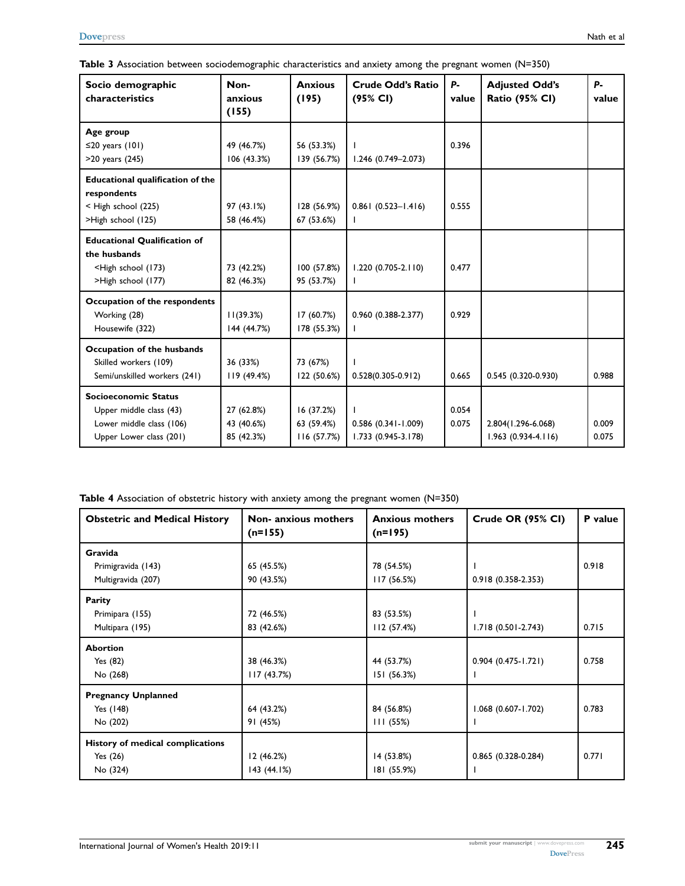| Table 3 Association between sociodemographic characteristics and anxiety among the pregnant women $(N=350)$ |  |  |
|-------------------------------------------------------------------------------------------------------------|--|--|
|-------------------------------------------------------------------------------------------------------------|--|--|

| Socio demographic<br>characteristics                                                                            | Non-<br>anxious<br>(155)               | <b>Anxious</b><br>(195)                | <b>Crude Odd's Ratio</b><br>(95% CI)         | <b>P</b> -<br>value | <b>Adjusted Odd's</b><br><b>Ratio (95% CI)</b> | <b>P</b> -<br>value |
|-----------------------------------------------------------------------------------------------------------------|----------------------------------------|----------------------------------------|----------------------------------------------|---------------------|------------------------------------------------|---------------------|
| Age group<br>≤20 years $(101)$<br>>20 years (245)                                                               | 49 (46.7%)<br>106(43.3%)               | 56 (53.3%)<br>139 (56.7%)              | $1.246$ (0.749-2.073)                        | 0.396               |                                                |                     |
| <b>Educational qualification of the</b><br>respondents<br>< High school (225)<br>>High school (125)             | 97 (43.1%)<br>58 (46.4%)               | 128 (56.9%)<br>67 (53.6%)              | $0.861(0.523 - 1.416)$                       | 0.555               |                                                |                     |
| <b>Educational Qualification of</b><br>the husbands<br><high (173)<br="" school="">&gt;High school (177)</high> | 73 (42.2%)<br>82 (46.3%)               | 100 (57.8%)<br>95 (53.7%)              | $1.220(0.705 - 2.110)$                       | 0.477               |                                                |                     |
| Occupation of the respondents<br>Working (28)<br>Housewife (322)                                                | 11(39.3%)<br>144 (44.7%)               | 17 (60.7%)<br>178 (55.3%)              | 0.960 (0.388-2.377)                          | 0.929               |                                                |                     |
| Occupation of the husbands<br>Skilled workers (109)<br>Semi/unskilled workers (241)                             | 36 (33%)<br>119 (49.4%)                | 73 (67%)<br>122 (50.6%)                | $0.528(0.305 - 0.912)$                       | 0.665               | 0.545 (0.320-0.930)                            | 0.988               |
| Socioeconomic Status<br>Upper middle class (43)<br>Lower middle class (106)<br>Upper Lower class (201)          | 27 (62.8%)<br>43 (40.6%)<br>85 (42.3%) | 16 (37.2%)<br>63 (59.4%)<br>116(57.7%) | $0.586$ (0.341-1.009)<br>1.733 (0.945-3.178) | 0.054<br>0.075      | 2.804(1.296-6.068)<br>$1.963(0.934-4.116)$     | 0.009<br>0.075      |

| Table 4 Association of obstetric history with anxiety among the pregnant women (N=350) |  |  |  |
|----------------------------------------------------------------------------------------|--|--|--|
|----------------------------------------------------------------------------------------|--|--|--|

| <b>Obstetric and Medical History</b> | Non- anxious mothers<br>$(n=155)$ | <b>Anxious mothers</b><br>$(n=195)$ | Crude OR (95% CI)      | P value |  |
|--------------------------------------|-----------------------------------|-------------------------------------|------------------------|---------|--|
| Gravida                              |                                   |                                     |                        |         |  |
| Primigravida (143)                   | 65 (45.5%)                        | 78 (54.5%)                          |                        | 0.918   |  |
| Multigravida (207)                   | 90 (43.5%)                        | 117(56.5%)                          | 0.918 (0.358-2.353)    |         |  |
| Parity                               |                                   |                                     |                        |         |  |
| Primipara (155)                      | 72 (46.5%)                        | 83 (53.5%)                          |                        |         |  |
| Multipara (195)                      | 83 (42.6%)                        | 112(57.4%)                          | 1.718 (0.501-2.743)    | 0.715   |  |
| <b>Abortion</b>                      |                                   |                                     |                        |         |  |
| Yes $(82)$                           | 38 (46.3%)                        | 44 (53.7%)                          | $0.904(0.475 - 1.721)$ | 0.758   |  |
| No (268)                             | 117(43.7%)                        | 151 (56.3%)                         |                        |         |  |
| <b>Pregnancy Unplanned</b>           |                                   |                                     |                        |         |  |
| Yes (148)                            | 64 (43.2%)                        | 84 (56.8%)                          | $1.068(0.607 - 1.702)$ | 0.783   |  |
| No (202)                             | 91 (45%)                          | 111(55%)                            |                        |         |  |
| History of medical complications     |                                   |                                     |                        |         |  |
| Yes $(26)$                           | 12(46.2%)                         | 14 (53.8%)                          | $0.865(0.328-0.284)$   | 0.771   |  |
| No (324)                             | 143(44.1%)                        | 181 (55.9%)                         |                        |         |  |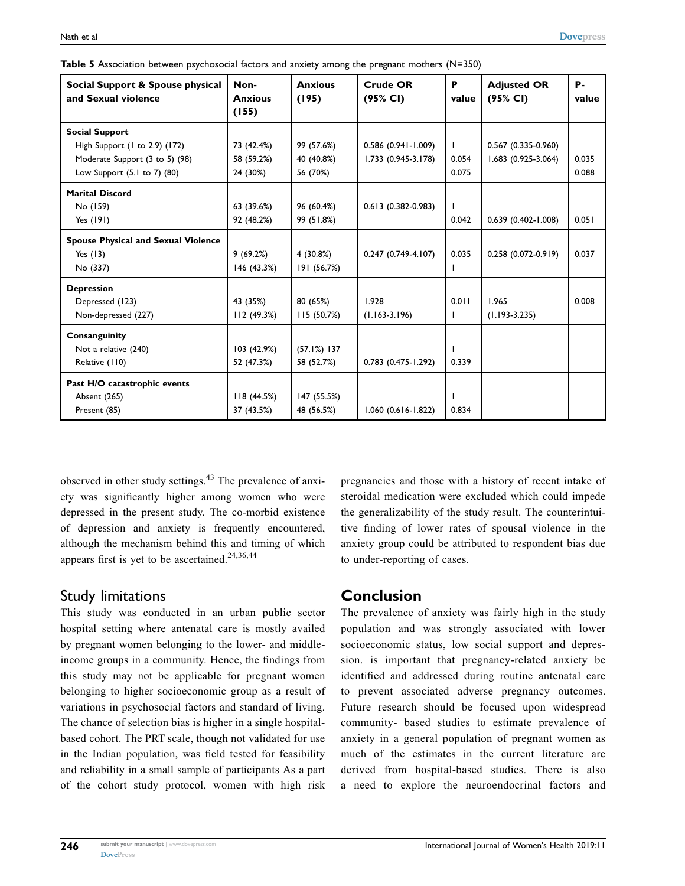|  |  |  | Table 5 Association between psychosocial factors and anxiety among the pregnant mothers $(N=350)$ |  |
|--|--|--|---------------------------------------------------------------------------------------------------|--|
|--|--|--|---------------------------------------------------------------------------------------------------|--|

| Social Support & Spouse physical<br>and Sexual violence                                                                              | Non-<br><b>Anxious</b><br>(155)      | <b>Anxious</b><br>(195)              | Crude OR<br>(95% CI)                          | P<br>value                     | <b>Adjusted OR</b><br>(95% CI)               | Р.<br>value    |
|--------------------------------------------------------------------------------------------------------------------------------------|--------------------------------------|--------------------------------------|-----------------------------------------------|--------------------------------|----------------------------------------------|----------------|
| <b>Social Support</b><br>High Support (1 to 2.9) (172)<br>Moderate Support (3 to 5) (98)<br>Low Support $(5.1 \text{ to } 7)$ $(80)$ | 73 (42.4%)<br>58 (59.2%)<br>24 (30%) | 99 (57.6%)<br>40 (40.8%)<br>56 (70%) | $0.586$ (0.941-1.009)<br>$1.733(0.945-3.178)$ | $\mathbf{L}$<br>0.054<br>0.075 | $0.567(0.335-0.960)$<br>$1.683(0.925-3.064)$ | 0.035<br>0.088 |
| <b>Marital Discord</b><br>No (159)<br>Yes (191)                                                                                      | 63 (39.6%)<br>92 (48.2%)             | 96 (60.4%)<br>99 (51.8%)             | $0.613(0.382 - 0.983)$                        | 0.042                          | $0.639(0.402 - 1.008)$                       | 0.051          |
| <b>Spouse Physical and Sexual Violence</b><br>Yes $(13)$<br>No (337)                                                                 | 9(69.2%)<br>146 (43.3%)              | 4 (30.8%)<br>191 (56.7%)             | $0.247(0.749-4.107)$                          | 0.035                          | 0.258 (0.072-0.919)                          | 0.037          |
| <b>Depression</b><br>Depressed (123)<br>Non-depressed (227)                                                                          | 43 (35%)<br>112(49.3%)               | 80 (65%)<br>115(50.7%)               | 1.928<br>$(1.163 - 3.196)$                    | 0.011<br>L                     | 1.965<br>$(1.193 - 3.235)$                   | 0.008          |
| Consanguinity<br>Not a relative (240)<br>Relative (110)                                                                              | 103 (42.9%)<br>52 (47.3%)            | $(57.1%)$ 137<br>58 (52.7%)          | 0.783 (0.475-1.292)                           | 0.339                          |                                              |                |
| Past H/O catastrophic events<br><b>Absent (265)</b><br>Present (85)                                                                  | 118(44.5%)<br>37 (43.5%)             | 147 (55.5%)<br>48 (56.5%)            | $1.060(0.616 - 1.822)$                        | 0.834                          |                                              |                |

observed in other study settings.<sup>43</sup> The prevalence of anxiety was significantly higher among women who were depressed in the present study. The co-morbid existence of depression and anxiety is frequently encountered, although the mechanism behind this and timing of which appears first is yet to be ascertained.<sup>24,36,44</sup>

# Study limitations

This study was conducted in an urban public sector hospital setting where antenatal care is mostly availed by pregnant women belonging to the lower- and middleincome groups in a community. Hence, the findings from this study may not be applicable for pregnant women belonging to higher socioeconomic group as a result of variations in psychosocial factors and standard of living. The chance of selection bias is higher in a single hospitalbased cohort. The PRT scale, though not validated for use in the Indian population, was field tested for feasibility and reliability in a small sample of participants As a part of the cohort study protocol, women with high risk pregnancies and those with a history of recent intake of steroidal medication were excluded which could impede the generalizability of the study result. The counterintuitive finding of lower rates of spousal violence in the anxiety group could be attributed to respondent bias due to under-reporting of cases.

# Conclusion

The prevalence of anxiety was fairly high in the study population and was strongly associated with lower socioeconomic status, low social support and depression. is important that pregnancy-related anxiety be identified and addressed during routine antenatal care to prevent associated adverse pregnancy outcomes. Future research should be focused upon widespread community- based studies to estimate prevalence of anxiety in a general population of pregnant women as much of the estimates in the current literature are derived from hospital-based studies. There is also a need to explore the neuroendocrinal factors and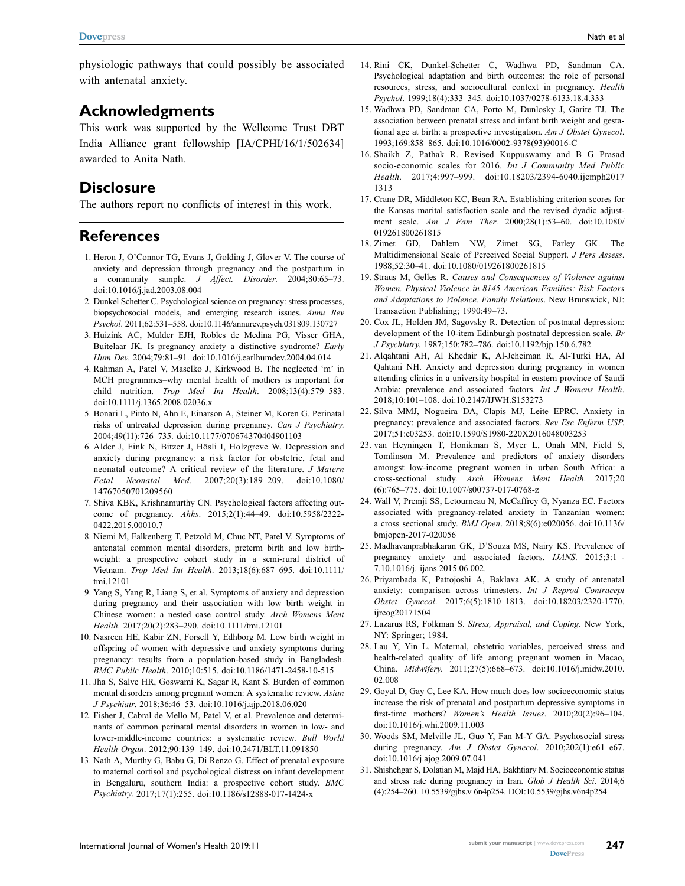physiologic pathways that could possibly be associated with antenatal anxiety.

### Acknowledgments

This work was supported by the Wellcome Trust DBT India Alliance grant fellowship [IA/CPHI/16/1/502634] awarded to Anita Nath.

#### **Disclosure**

The authors report no conflicts of interest in this work.

#### **References**

- 1. Heron J, O'Connor TG, Evans J, Golding J, Glover V. The course of anxiety and depression through pregnancy and the postpartum in a community sample. J Affect. Disorder. 2004;80:65–73. doi:[10.1016/j.jad.2003.08.004](https://doi.org/10.1016/j.jad.2003.08.004)
- 2. Dunkel Schetter C. Psychological science on pregnancy: stress processes, biopsychosocial models, and emerging research issues. Annu Rev Psychol. 2011;62:531–558. doi:[10.1146/annurev.psych.031809.130727](https://doi.org/10.1146/annurev.psych.031809.130727)
- 3. Huizink AC, Mulder EJH, Robles de Medina PG, Visser GHA, Buitelaar JK. Is pregnancy anxiety a distinctive syndrome? Early Hum Dev. 2004;79:81–91. doi:[10.1016/j.earlhumdev.2004.04.014](https://doi.org/10.1016/j.earlhumdev.2004.04.014)
- 4. Rahman A, Patel V, Maselko J, Kirkwood B. The neglected 'm' in MCH programmes–why mental health of mothers is important for child nutrition. Trop Med Int Health. 2008;13(4):579–583. doi:[10.1111/j.1365.2008.02036.x](https://doi.org/10.1111/j.1365.2008.02036.x)
- 5. Bonari L, Pinto N, Ahn E, Einarson A, Steiner M, Koren G. Perinatal risks of untreated depression during pregnancy. Can J Psychiatry. 2004;49(11):726–735. doi:[10.1177/070674370404901103](https://doi.org/10.1177/070674370404901103)
- 6. Alder J, Fink N, Bitzer J, Hösli I, Holzgreve W. Depression and anxiety during pregnancy: a risk factor for obstetric, fetal and neonatal outcome? A critical review of the literature. J Matern Fetal Neonatal Med. 2007;20(3):189–209. doi:[10.1080/](https://doi.org/10.1080/14767050701209560) [14767050701209560](https://doi.org/10.1080/14767050701209560)
- 7. Shiva KBK, Krishnamurthy CN. Psychological factors affecting outcome of pregnancy. Ahhs. 2015;2(1):44–49. doi:[10.5958/2322-](https://doi.org/10.5958/2322-0422.2015.00010.7) [0422.2015.00010.7](https://doi.org/10.5958/2322-0422.2015.00010.7)
- 8. Niemi M, Falkenberg T, Petzold M, Chuc NT, Patel V. Symptoms of antenatal common mental disorders, preterm birth and low birthweight: a prospective cohort study in a semi-rural district of Vietnam. Trop Med Int Health. 2013;18(6):687–695. doi:[10.1111/](https://doi.org/10.1111/tmi.12101) [tmi.12101](https://doi.org/10.1111/tmi.12101)
- 9. Yang S, Yang R, Liang S, et al. Symptoms of anxiety and depression during pregnancy and their association with low birth weight in Chinese women: a nested case control study. Arch Womens Ment Health. 2017;20(2):283–290. doi:[10.1111/tmi.12101](https://doi.org/10.1111/tmi.12101)
- 10. Nasreen HE, Kabir ZN, Forsell Y, Edhborg M. Low birth weight in offspring of women with depressive and anxiety symptoms during pregnancy: results from a population-based study in Bangladesh. BMC Public Health. 2010;10:515. doi:[10.1186/1471-2458-10-515](https://doi.org/10.1186/1471-2458-10-515)
- 11. Jha S, Salve HR, Goswami K, Sagar R, Kant S. Burden of common mental disorders among pregnant women: A systematic review. Asian J Psychiatr. 2018;36:46–53. doi:[10.1016/j.ajp.2018.06.020](https://doi.org/10.1016/j.ajp.2018.06.020)
- 12. Fisher J, Cabral de Mello M, Patel V, et al. Prevalence and determinants of common perinatal mental disorders in women in low- and lower-middle-income countries: a systematic review. Bull World Health Organ. 2012;90:139–149. doi:[10.2471/BLT.11.091850](https://doi.org/10.2471/BLT.11.091850)
- 13. Nath A, Murthy G, Babu G, Di Renzo G. Effect of prenatal exposure to maternal cortisol and psychological distress on infant development in Bengaluru, southern India: a prospective cohort study. BMC Psychiatry. 2017;17(1):255. doi:[10.1186/s12888-017-1424-x](https://doi.org/10.1186/s12888-017-1424-x)
- 14. Rini CK, Dunkel-Schetter C, Wadhwa PD, Sandman CA. Psychological adaptation and birth outcomes: the role of personal resources, stress, and sociocultural context in pregnancy. Health Psychol. 1999;18(4):333–345. doi:[10.1037/0278-6133.18.4.333](https://doi.org/10.1037/0278-6133.18.4.333)
- 15. Wadhwa PD, Sandman CA, Porto M, Dunlosky J, Garite TJ. The association between prenatal stress and infant birth weight and gestational age at birth: a prospective investigation. Am J Obstet Gynecol. 1993;169:858–865. doi:[10.1016/0002-9378\(93\)90016-C](https://doi.org/10.1016/0002-9378(93)90016-C)
- 16. Shaikh Z, Pathak R. Revised Kuppuswamy and B G Prasad socio-economic scales for 2016. Int J Community Med Public Health. 2017;4:997–999. doi:[10.18203/2394-6040.ijcmph2017](https://doi.org/10.18203/2394-6040.ijcmph20171313) [1313](https://doi.org/10.18203/2394-6040.ijcmph20171313)
- 17. Crane DR, Middleton KC, Bean RA. Establishing criterion scores for the Kansas marital satisfaction scale and the revised dyadic adjustment scale. Am J Fam Ther. 2000;28(1):53–60. doi:[10.1080/](https://doi.org/10.1080/019261800261815) [019261800261815](https://doi.org/10.1080/019261800261815)
- 18. Zimet GD, Dahlem NW, Zimet SG, Farley GK. The Multidimensional Scale of Perceived Social Support. J Pers Assess. 1988;52:30–41. doi:[10.1080/019261800261815](https://doi.org/10.1080/019261800261815)
- 19. Straus M, Gelles R. Causes and Consequences of Violence against Women. Physical Violence in 8145 American Families: Risk Factors and Adaptations to Violence. Family Relations. New Brunswick, NJ: Transaction Publishing; 1990:49–73.
- 20. Cox JL, Holden JM, Sagovsky R. Detection of postnatal depression: development of the 10-item Edinburgh postnatal depression scale. Br J Psychiatry. 1987;150:782–786. doi:[10.1192/bjp.150.6.782](https://doi.org/10.1192/bjp.150.6.782)
- 21. Alqahtani AH, Al Khedair K, Al-Jeheiman R, Al-Turki HA, Al Qahtani NH. Anxiety and depression during pregnancy in women attending clinics in a university hospital in eastern province of Saudi Arabia: prevalence and associated factors. Int J Womens Health. 2018;10:101–108. doi:[10.2147/IJWH.S153273](https://doi.org/10.2147/IJWH.S153273)
- 22. Silva MMJ, Nogueira DA, Clapis MJ, Leite EPRC. Anxiety in pregnancy: prevalence and associated factors. Rev Esc Enferm USP. 2017;51:e03253. doi:[10.1590/S1980-220X2016048003253](https://doi.org/10.1590/S1980-220X2016048003253)
- 23. van Heyningen T, Honikman S, Myer L, Onah MN, Field S, Tomlinson M. Prevalence and predictors of anxiety disorders amongst low-income pregnant women in urban South Africa: a cross-sectional study. Arch Womens Ment Health. 2017;20 (6):765–775. doi:[10.1007/s00737-017-0768-z](https://doi.org/10.1007/s00737-017-0768-z)
- 24. Wall V, Premji SS, Letourneau N, McCaffrey G, Nyanza EC. Factors associated with pregnancy-related anxiety in Tanzanian women: a cross sectional study. BMJ Open. 2018;8(6):e020056. doi:[10.1136/](https://doi.org/10.1136/bmjopen-2017-020056) [bmjopen-2017-020056](https://doi.org/10.1136/bmjopen-2017-020056)
- 25. Madhavanprabhakaran GK, D'Souza MS, Nairy KS. Prevalence of pregnancy anxiety and associated factors. IJANS. 2015;3:1–- 7.10.1016/j. ijans.2015.06.002.
- 26. Priyambada K, Pattojoshi A, Baklava AK. A study of antenatal anxiety: comparison across trimesters. Int J Reprod Contracept Obstet Gynecol. 2017;6(5):1810–1813. doi:[10.18203/2320-1770.](https://doi.org/10.18203/2320-1770.ijrcog20171504) [ijrcog20171504](https://doi.org/10.18203/2320-1770.ijrcog20171504)
- 27. Lazarus RS, Folkman S. Stress, Appraisal, and Coping. New York, NY: Springer; 1984.
- 28. Lau Y, Yin L. Maternal, obstetric variables, perceived stress and health-related quality of life among pregnant women in Macao, China. Midwifery. 2011;27(5):668–673. doi:[10.1016/j.midw.2010.](https://doi.org/10.1016/j.midw.2010.02.008) [02.008](https://doi.org/10.1016/j.midw.2010.02.008)
- 29. Goyal D, Gay C, Lee KA. How much does low socioeconomic status increase the risk of prenatal and postpartum depressive symptoms in first-time mothers? Women's Health Issues. 2010;20(2):96–104. doi:[10.1016/j.whi.2009.11.003](https://doi.org/10.1016/j.whi.2009.11.003)
- 30. Woods SM, Melville JL, Guo Y, Fan M-Y GA. Psychosocial stress during pregnancy. Am J Obstet Gynecol. 2010;202(1):e61-e67. doi:[10.1016/j.ajog.2009.07.041](https://doi.org/10.1016/j.ajog.2009.07.041)
- 31. Shishehgar S, Dolatian M, Majd HA, Bakhtiary M. Socioeconomic status and stress rate during pregnancy in Iran. Glob J Health Sci. 2014;6 (4):254–260. 10.5539/gjhs.v 6n4p254. DOI:[10.5539/gjhs.v6n4p254](https://doi.org/10.5539/gjhs.v6n4p254)